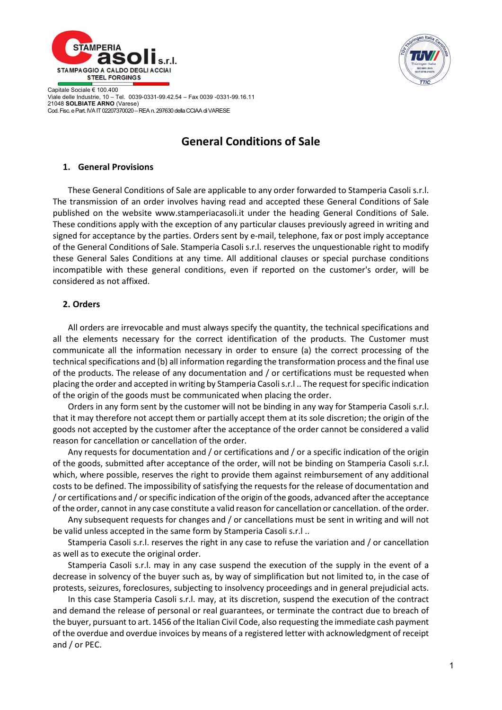



Capitale Sociale € 100.400 Viale delle Industrie, 10 – Tel. 0039-0331-99.42.54 – Fax 0039 -0331-99.16.11 21048 SOLBIATE ARNO (Varese) Cod. Fisc. e Part. IVA IT 02207370020 – REA n. 297630 della CCIAA di VARESE

# General Conditions of Sale

## 1. General Provisions

These General Conditions of Sale are applicable to any order forwarded to Stamperia Casoli s.r.l. The transmission of an order involves having read and accepted these General Conditions of Sale published on the website www.stamperiacasoli.it under the heading General Conditions of Sale. These conditions apply with the exception of any particular clauses previously agreed in writing and signed for acceptance by the parties. Orders sent by e-mail, telephone, fax or post imply acceptance of the General Conditions of Sale. Stamperia Casoli s.r.l. reserves the unquestionable right to modify these General Sales Conditions at any time. All additional clauses or special purchase conditions incompatible with these general conditions, even if reported on the customer's order, will be considered as not affixed.

# 2. Orders

All orders are irrevocable and must always specify the quantity, the technical specifications and all the elements necessary for the correct identification of the products. The Customer must communicate all the information necessary in order to ensure (a) the correct processing of the technical specifications and (b) all information regarding the transformation process and the final use of the products. The release of any documentation and / or certifications must be requested when placing the order and accepted in writing by Stamperia Casoli s.r.l .. The request for specific indication of the origin of the goods must be communicated when placing the order.

Orders in any form sent by the customer will not be binding in any way for Stamperia Casoli s.r.l. that it may therefore not accept them or partially accept them at its sole discretion; the origin of the goods not accepted by the customer after the acceptance of the order cannot be considered a valid reason for cancellation or cancellation of the order.

Any requests for documentation and / or certifications and / or a specific indication of the origin of the goods, submitted after acceptance of the order, will not be binding on Stamperia Casoli s.r.l. which, where possible, reserves the right to provide them against reimbursement of any additional costs to be defined. The impossibility of satisfying the requests for the release of documentation and / or certifications and / or specific indication of the origin of the goods, advanced after the acceptance of the order, cannot in any case constitute a valid reason for cancellation or cancellation. of the order.

Any subsequent requests for changes and / or cancellations must be sent in writing and will not be valid unless accepted in the same form by Stamperia Casoli s.r.l ..

Stamperia Casoli s.r.l. reserves the right in any case to refuse the variation and / or cancellation as well as to execute the original order.

Stamperia Casoli s.r.l. may in any case suspend the execution of the supply in the event of a decrease in solvency of the buyer such as, by way of simplification but not limited to, in the case of protests, seizures, foreclosures, subjecting to insolvency proceedings and in general prejudicial acts.

In this case Stamperia Casoli s.r.l. may, at its discretion, suspend the execution of the contract and demand the release of personal or real guarantees, or terminate the contract due to breach of the buyer, pursuant to art. 1456 of the Italian Civil Code, also requesting the immediate cash payment of the overdue and overdue invoices by means of a registered letter with acknowledgment of receipt and / or PEC.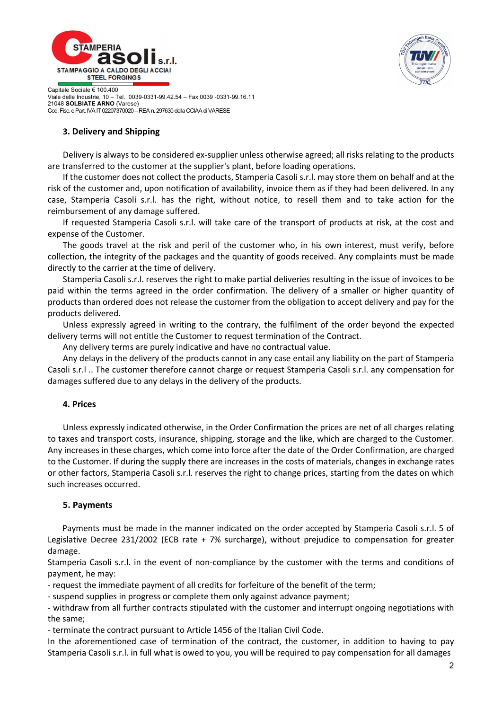



Capitale Sociale € 100.400 Viale delle Industrie, 10 – Tel. 0039-0331-99.42.54 – Fax 0039 -0331-99.16.11 21048 SOLBIATE ARNO (Varese) Cod. Fisc. e Part. IVA IT 02207370020 – REA n. 297630 della CCIAA di VARESE

# 3. Delivery and Shipping

Delivery is always to be considered ex-supplier unless otherwise agreed; all risks relating to the products are transferred to the customer at the supplier's plant, before loading operations.

If the customer does not collect the products, Stamperia Casoli s.r.l. may store them on behalf and at the risk of the customer and, upon notification of availability, invoice them as if they had been delivered. In any case, Stamperia Casoli s.r.l. has the right, without notice, to resell them and to take action for the reimbursement of any damage suffered.

If requested Stamperia Casoli s.r.l. will take care of the transport of products at risk, at the cost and expense of the Customer.

The goods travel at the risk and peril of the customer who, in his own interest, must verify, before collection, the integrity of the packages and the quantity of goods received. Any complaints must be made directly to the carrier at the time of delivery.

Stamperia Casoli s.r.l. reserves the right to make partial deliveries resulting in the issue of invoices to be paid within the terms agreed in the order confirmation. The delivery of a smaller or higher quantity of products than ordered does not release the customer from the obligation to accept delivery and pay for the products delivered.

Unless expressly agreed in writing to the contrary, the fulfilment of the order beyond the expected delivery terms will not entitle the Customer to request termination of the Contract.

Any delivery terms are purely indicative and have no contractual value.

Any delays in the delivery of the products cannot in any case entail any liability on the part of Stamperia Casoli s.r.l .. The customer therefore cannot charge or request Stamperia Casoli s.r.l. any compensation for damages suffered due to any delays in the delivery of the products.

### 4. Prices

Unless expressly indicated otherwise, in the Order Confirmation the prices are net of all charges relating to taxes and transport costs, insurance, shipping, storage and the like, which are charged to the Customer. Any increases in these charges, which come into force after the date of the Order Confirmation, are charged to the Customer. If during the supply there are increases in the costs of materials, changes in exchange rates or other factors, Stamperia Casoli s.r.l. reserves the right to change prices, starting from the dates on which such increases occurred.

# 5. Payments

 Payments must be made in the manner indicated on the order accepted by Stamperia Casoli s.r.l. 5 of Legislative Decree 231/2002 (ECB rate + 7% surcharge), without prejudice to compensation for greater damage.

Stamperia Casoli s.r.l. in the event of non-compliance by the customer with the terms and conditions of payment, he may:

- request the immediate payment of all credits for forfeiture of the benefit of the term;

- suspend supplies in progress or complete them only against advance payment;

- withdraw from all further contracts stipulated with the customer and interrupt ongoing negotiations with the same;

- terminate the contract pursuant to Article 1456 of the Italian Civil Code.

In the aforementioned case of termination of the contract, the customer, in addition to having to pay Stamperia Casoli s.r.l. in full what is owed to you, you will be required to pay compensation for all damages